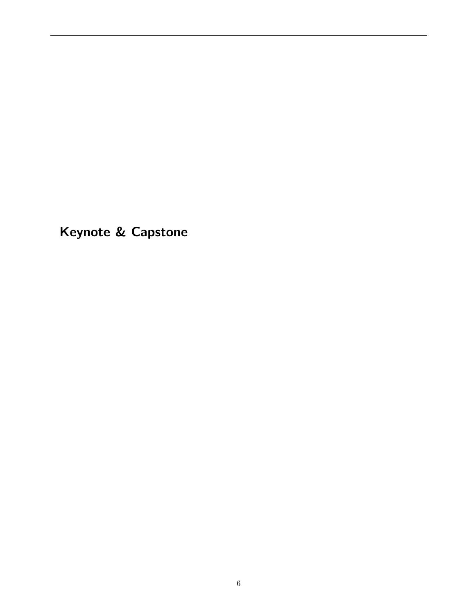Keynote & Capstone